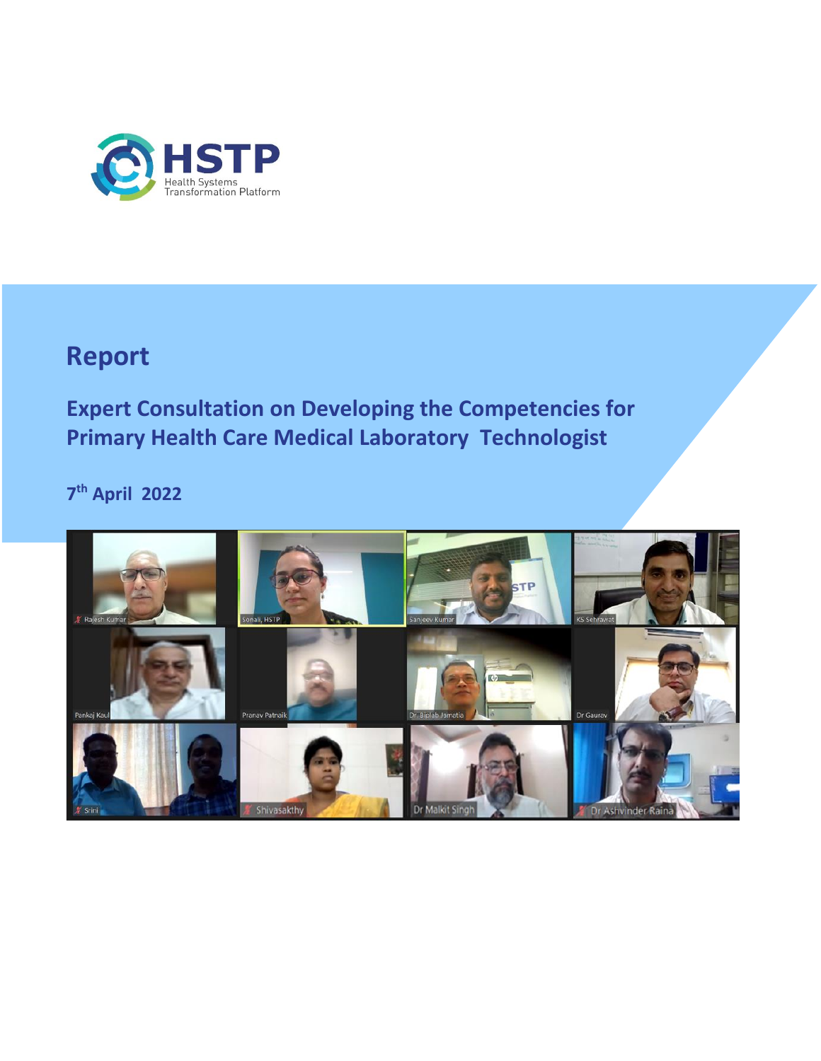

## **Report**

**Expert Consultation on Developing the Competencies for Primary Health Care Medical Laboratory Technologist** 

**7 th April 2022**

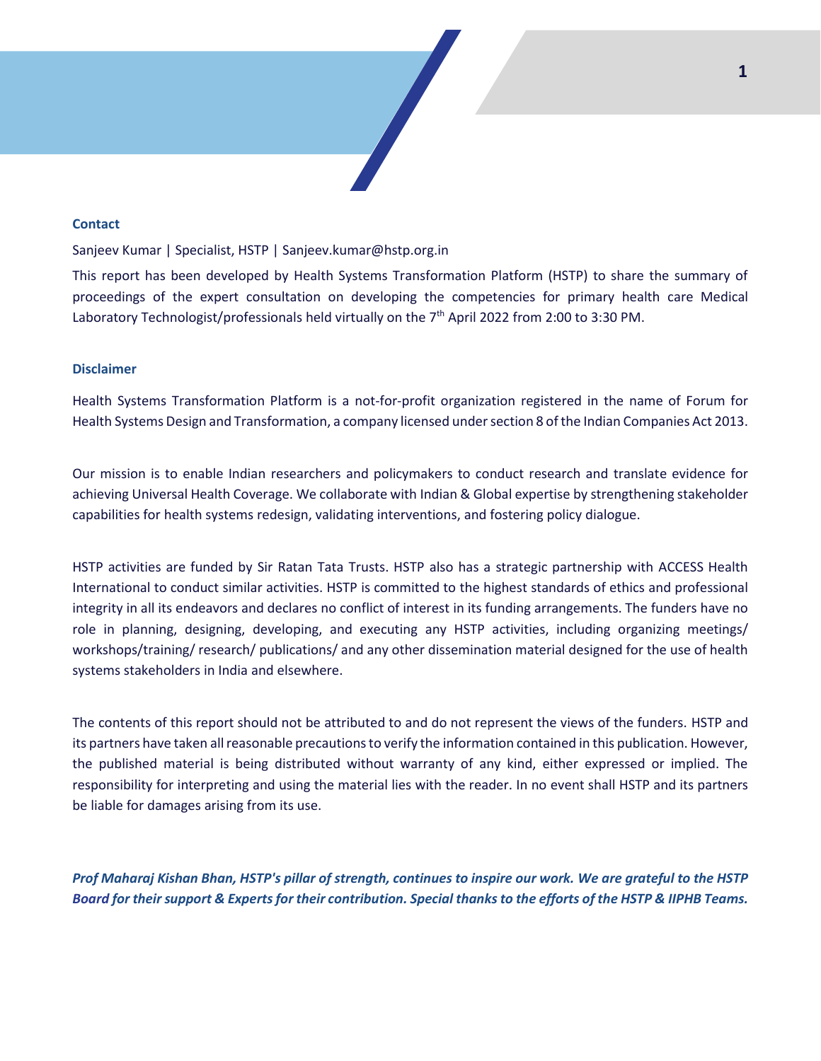#### **Contact**

Sanjeev Kumar | Specialist, HSTP | Sanjeev.kumar@hstp.org.in

This report has been developed by Health Systems Transformation Platform (HSTP) to share the summary of proceedings of the expert consultation on developing the competencies for primary health care Medical Laboratory Technologist/professionals held virtually on the 7<sup>th</sup> April 2022 from 2:00 to 3:30 PM.

#### **Disclaimer**

Health Systems Transformation Platform is a not-for-profit organization registered in the name of Forum for Health Systems Design and Transformation, a company licensed under section 8 of the Indian Companies Act 2013.

Our mission is to enable Indian researchers and policymakers to conduct research and translate evidence for achieving Universal Health Coverage. We collaborate with Indian & Global expertise by strengthening stakeholder capabilities for health systems redesign, validating interventions, and fostering policy dialogue.

HSTP activities are funded by Sir Ratan Tata Trusts. HSTP also has a strategic partnership with ACCESS Health International to conduct similar activities. HSTP is committed to the highest standards of ethics and professional integrity in all its endeavors and declares no conflict of interest in its funding arrangements. The funders have no role in planning, designing, developing, and executing any HSTP activities, including organizing meetings/ workshops/training/ research/ publications/ and any other dissemination material designed for the use of health systems stakeholders in India and elsewhere.

The contents of this report should not be attributed to and do not represent the views of the funders. HSTP and its partners have taken all reasonable precautions to verify the information contained in this publication. However, the published material is being distributed without warranty of any kind, either expressed or implied. The responsibility for interpreting and using the material lies with the reader. In no event shall HSTP and its partners be liable for damages arising from its use.

*Prof Maharaj Kishan Bhan, HSTP's pillar of strength, continues to inspire our work. We are grateful to the HSTP Board for their support & Experts for their contribution. Special thanks to the efforts of the HSTP & IIPHB Teams.*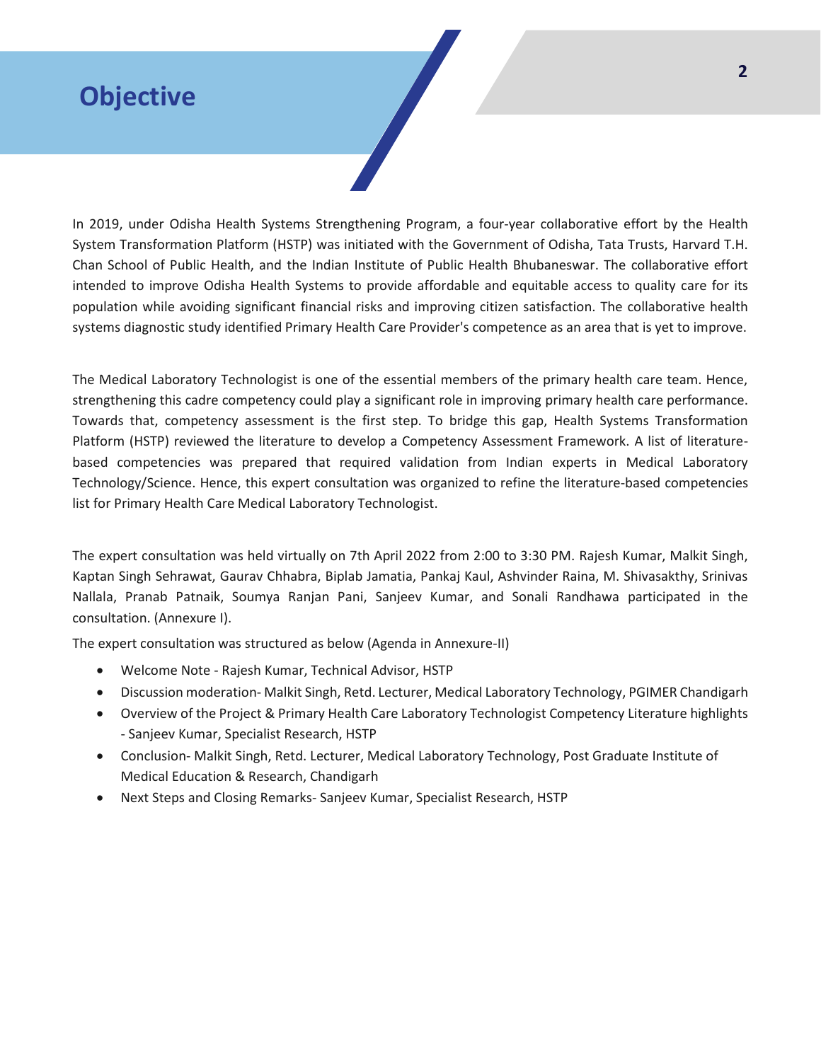## **Objective**

In 2019, under Odisha Health Systems Strengthening Program, a four-year collaborative effort by the Health System Transformation Platform (HSTP) was initiated with the Government of Odisha, Tata Trusts, Harvard T.H. Chan School of Public Health, and the Indian Institute of Public Health Bhubaneswar. The collaborative effort intended to improve Odisha Health Systems to provide affordable and equitable access to quality care for its population while avoiding significant financial risks and improving citizen satisfaction. The collaborative health systems diagnostic study identified Primary Health Care Provider's competence as an area that is yet to improve.

The Medical Laboratory Technologist is one of the essential members of the primary health care team. Hence, strengthening this cadre competency could play a significant role in improving primary health care performance. Towards that, competency assessment is the first step. To bridge this gap, Health Systems Transformation Platform (HSTP) reviewed the literature to develop a Competency Assessment Framework. A list of literaturebased competencies was prepared that required validation from Indian experts in Medical Laboratory Technology/Science. Hence, this expert consultation was organized to refine the literature-based competencies list for Primary Health Care Medical Laboratory Technologist.

The expert consultation was held virtually on 7th April 2022 from 2:00 to 3:30 PM. Rajesh Kumar, Malkit Singh, Kaptan Singh Sehrawat, Gaurav Chhabra, Biplab Jamatia, Pankaj Kaul, Ashvinder Raina, M. Shivasakthy, Srinivas Nallala, Pranab Patnaik, Soumya Ranjan Pani, Sanjeev Kumar, and Sonali Randhawa participated in the consultation. (Annexure I).

The expert consultation was structured as below (Agenda in Annexure-II)

- Welcome Note Rajesh Kumar, Technical Advisor, HSTP
- Discussion moderation- Malkit Singh, Retd. Lecturer, Medical Laboratory Technology, PGIMER Chandigarh
- Overview of the Project & Primary Health Care Laboratory Technologist Competency Literature highlights - Sanjeev Kumar, Specialist Research, HSTP
- Conclusion- Malkit Singh, Retd. Lecturer, Medical Laboratory Technology, Post Graduate Institute of Medical Education & Research, Chandigarh
- Next Steps and Closing Remarks- Sanjeev Kumar, Specialist Research, HSTP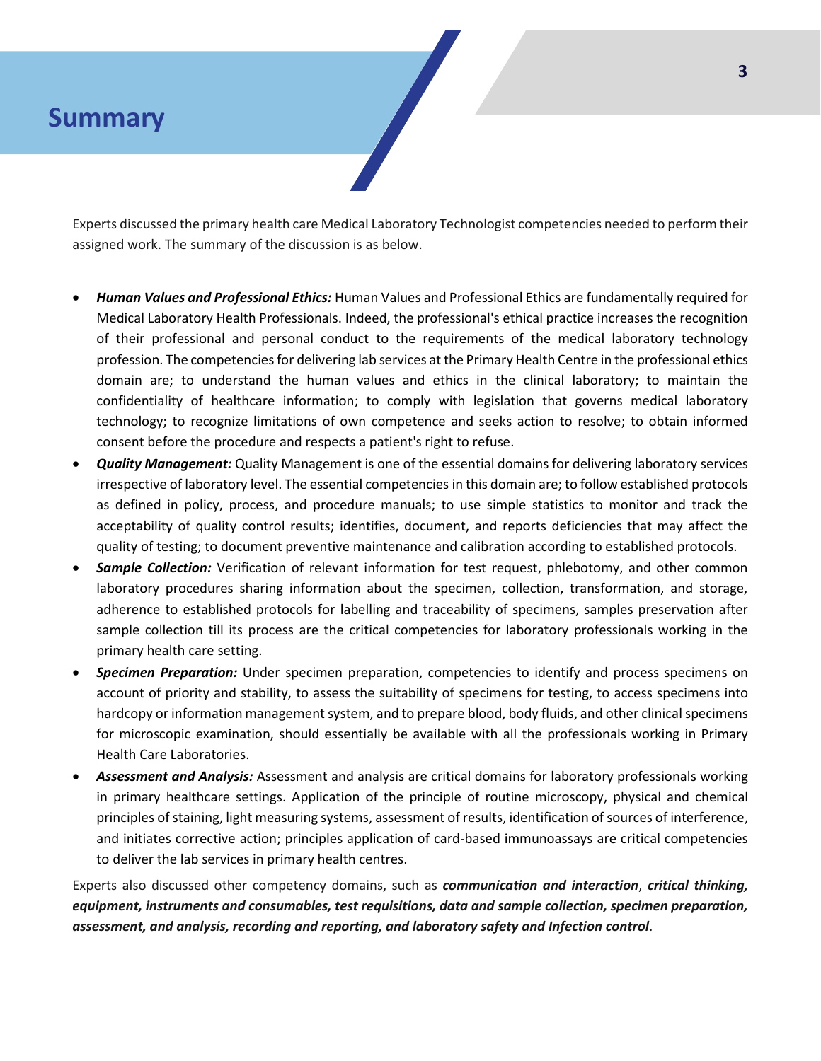#### **Summary**

Experts discussed the primary health care Medical Laboratory Technologist competencies needed to perform their assigned work. The summary of the discussion is as below.

- *Human Values and Professional Ethics:* Human Values and Professional Ethics are fundamentally required for Medical Laboratory Health Professionals. Indeed, the professional's ethical practice increases the recognition of their professional and personal conduct to the requirements of the medical laboratory technology profession. The competencies for delivering lab services at the Primary Health Centre in the professional ethics domain are; to understand the human values and ethics in the clinical laboratory; to maintain the confidentiality of healthcare information; to comply with legislation that governs medical laboratory technology; to recognize limitations of own competence and seeks action to resolve; to obtain informed consent before the procedure and respects a patient's right to refuse.
- *Quality Management:* Quality Management is one of the essential domains for delivering laboratory services irrespective of laboratory level. The essential competencies in this domain are; to follow established protocols as defined in policy, process, and procedure manuals; to use simple statistics to monitor and track the acceptability of quality control results; identifies, document, and reports deficiencies that may affect the quality of testing; to document preventive maintenance and calibration according to established protocols.
- **Sample Collection:** Verification of relevant information for test request, phlebotomy, and other common laboratory procedures sharing information about the specimen, collection, transformation, and storage, adherence to established protocols for labelling and traceability of specimens, samples preservation after sample collection till its process are the critical competencies for laboratory professionals working in the primary health care setting.
- *Specimen Preparation:* Under specimen preparation, competencies to identify and process specimens on account of priority and stability, to assess the suitability of specimens for testing, to access specimens into hardcopy or information management system, and to prepare blood, body fluids, and other clinical specimens for microscopic examination, should essentially be available with all the professionals working in Primary Health Care Laboratories.
- *Assessment and Analysis:* Assessment and analysis are critical domains for laboratory professionals working in primary healthcare settings. Application of the principle of routine microscopy, physical and chemical principles of staining, light measuring systems, assessment of results, identification of sources of interference, and initiates corrective action; principles application of card-based immunoassays are critical competencies to deliver the lab services in primary health centres.

Experts also discussed other competency domains, such as *communication and interaction*, *critical thinking, equipment, instruments and consumables, test requisitions, data and sample collection, specimen preparation, assessment, and analysis, recording and reporting, and laboratory safety and Infection control*.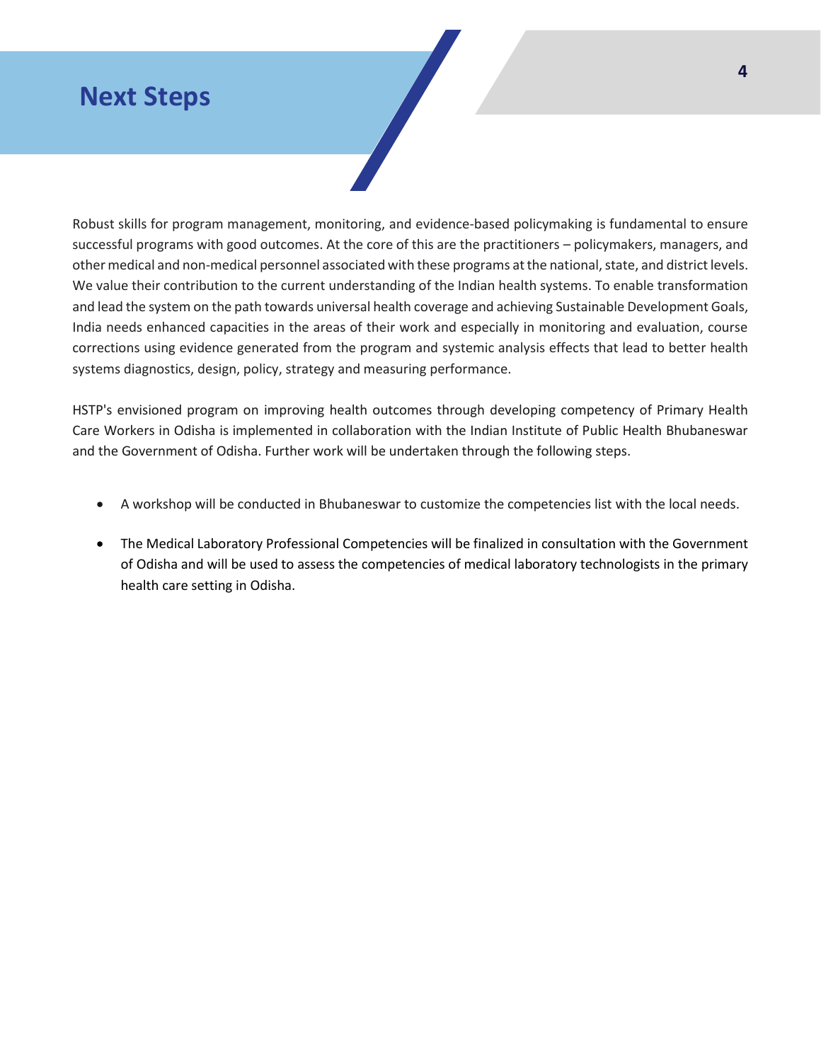### **Next Steps**

Robust skills for program management, monitoring, and evidence-based policymaking is fundamental to ensure successful programs with good outcomes. At the core of this are the practitioners – policymakers, managers, and other medical and non-medical personnel associated with these programs at the national, state, and district levels. We value their contribution to the current understanding of the Indian health systems. To enable transformation and lead the system on the path towards universal health coverage and achieving Sustainable Development Goals, India needs enhanced capacities in the areas of their work and especially in monitoring and evaluation, course corrections using evidence generated from the program and systemic analysis effects that lead to better health systems diagnostics, design, policy, strategy and measuring performance.

HSTP's envisioned program on improving health outcomes through developing competency of Primary Health Care Workers in Odisha is implemented in collaboration with the Indian Institute of Public Health Bhubaneswar and the Government of Odisha. Further work will be undertaken through the following steps.

- A workshop will be conducted in Bhubaneswar to customize the competencies list with the local needs.
- The Medical Laboratory Professional Competencies will be finalized in consultation with the Government of Odisha and will be used to assess the competencies of medical laboratory technologists in the primary health care setting in Odisha.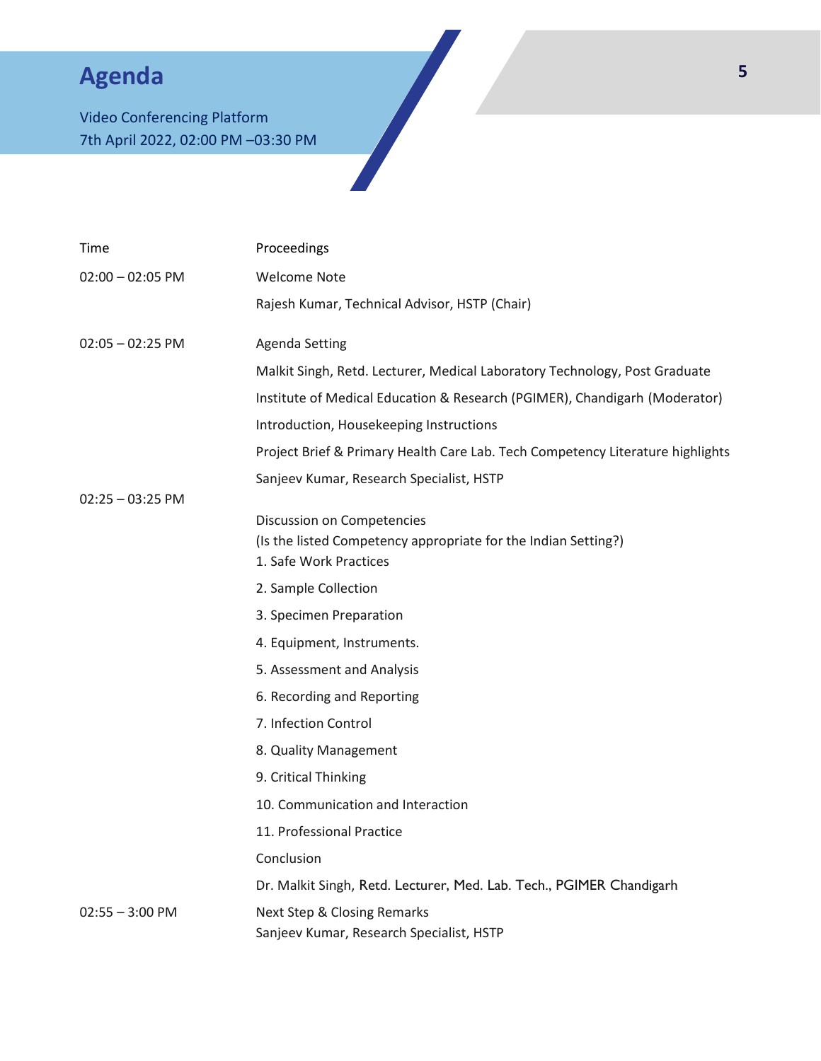# **Agenda**

Video Conferencing Platform 7th April 2022, 02:00 PM –03:30 PM

| Time               | Proceedings                                                                                                            |  |
|--------------------|------------------------------------------------------------------------------------------------------------------------|--|
| $02:00 - 02:05$ PM | <b>Welcome Note</b>                                                                                                    |  |
|                    | Rajesh Kumar, Technical Advisor, HSTP (Chair)                                                                          |  |
| $02:05 - 02:25$ PM | <b>Agenda Setting</b>                                                                                                  |  |
|                    | Malkit Singh, Retd. Lecturer, Medical Laboratory Technology, Post Graduate                                             |  |
|                    | Institute of Medical Education & Research (PGIMER), Chandigarh (Moderator)                                             |  |
|                    | Introduction, Housekeeping Instructions                                                                                |  |
|                    | Project Brief & Primary Health Care Lab. Tech Competency Literature highlights                                         |  |
|                    | Sanjeev Kumar, Research Specialist, HSTP                                                                               |  |
| $02:25 - 03:25$ PM | Discussion on Competencies<br>(Is the listed Competency appropriate for the Indian Setting?)<br>1. Safe Work Practices |  |
|                    | 2. Sample Collection                                                                                                   |  |
|                    | 3. Specimen Preparation                                                                                                |  |
|                    | 4. Equipment, Instruments.                                                                                             |  |
|                    | 5. Assessment and Analysis                                                                                             |  |
|                    | 6. Recording and Reporting                                                                                             |  |
|                    | 7. Infection Control                                                                                                   |  |
|                    | 8. Quality Management                                                                                                  |  |
|                    | 9. Critical Thinking                                                                                                   |  |
|                    | 10. Communication and Interaction                                                                                      |  |
|                    | 11. Professional Practice                                                                                              |  |
|                    | Conclusion                                                                                                             |  |
|                    | Dr. Malkit Singh, Retd. Lecturer, Med. Lab. Tech., PGIMER Chandigarh                                                   |  |
| $02:55 - 3:00$ PM  | <b>Next Step &amp; Closing Remarks</b><br>Sanjeev Kumar, Research Specialist, HSTP                                     |  |